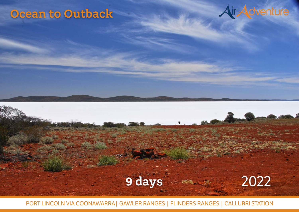# **Ocean to Outback**

Day 1: Melbourne, Essendon – Birdsville

venturing off road to the largest sand dune in the Simpson Desert 'Big Red'. Enjoy a cold beer from your 'perch' in the iconic Birdsville Pub and absorb the outback culture. Dinner tonight is in the pub's dining room where you will meet travellers that have

Leaving Melbourne fly north to Broken Hill for morning tea, then continue north to Birdsville. Explore the town, hallowed ground of the Birdsville racetrack before



Grove. On arrival you are taken on a guided adventure into Lawn Hill National Park, with an opportunity to stroll to the Cascades prior to your over-water

Tonight your ensuite cabins at Adel's Grove, and idylically position at Adel's Grove, and it is a strong position



PORT LINCOLN VIA COONAWARRA| GAWLER RANGES | FLINDERS RANGES | CALLUBRI STATION

pristine stream.

Flight time 2hrs 10mins total (2 flights).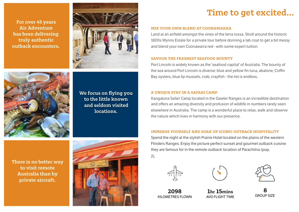For over 45 years Air Adventure has been delivering truly authentic outback encounters.



We focus on flying you to the little known and seldom visited locations.

There is no better way to visit remote Australia than by private aircraft.



# Time to get excited…

### MIX YOUR OWN BLEND AT COONAWARRA

Land at an airfield amongst the vines of the terra rossa. Stroll around the historic 1800s Wynns Estate for a private tour before donning a lab coat to get a bit messy and blend your own Coonawarra red - with some expert tuition.

# SAVOUR THE FRESHEST SEAFOOD BOUNTY

Port Lincoln is widely known as the 'seafood capital' of Australia. The bounty of the sea around Port Lincoln is diverse: blue and yellow fin tuna, abalone, Coffin Bay oysters, blue lip mussels, crab, crayfish - the list is endless.

# A UNIQUE STAY IN A SAFARI CAMP

Kangaluna Safari Camp located in the Gawler Ranges is an incredible destination and offers an amazing diversity and profusion of wildlife in numbers rarely seen elsewhere in Australia. The camp is a wonderful place to relax, walk and observe the nature which lives in harmony with our presence.

# IMMERSE YOURSELF AND SOAK UP ICONIC OUTBACK HOSPITALITY

Spend the night at the stylish Prairie Hotel located on the plains of the western Flinders Ranges. Enjoy the picture perfect sunset and gourmet outback cuisine they are famous for in the remote outback location of Parachilna (pop.  $2)$ .







8 GROUP SIZE

2098 KILOMETRES FLOWN

1hr 15mins AVG FLIGHT TIME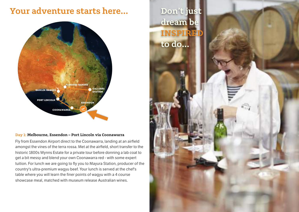# Your adventure starts here…



# Day 1: Melbourne, Essendon – Port Lincoln via Coonawarra

Fly from Essendon Airport direct to the Coonawarra, landing at an airfield amongst the vines of the terra rossa. Met at the airfield, short transfer to the historic 1800s Wynns Estate for a private tour before donning a lab coat to get a bit messy and blend your own Coonawarra red - with some expert tuition. For lunch we are going to fly you to Mayura Station, producer of the country's ultra-premium wagyu beef. Your lunch is served at the chef's table where you will learn the finer points of wagyu with a 4 course showcase meal, matched with museum release Australian wines.

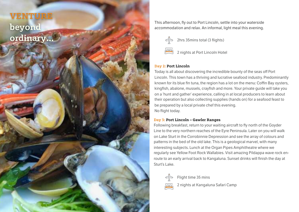VENTURE beyond ordinary…

This afternoon, fly out to Port Lincoln, settle into your waterside accommodation and relax. An informal, light meal this evening.



# Day 2: Port Lincoln

Today is all about discovering the incredible bounty of the seas off Port Lincoln. This town has a thriving and lucrative seafood industry. Predominantly known for its blue fin tuna, the region has a lot on the menu: Coffin Bay oysters, kingfish, abalone, mussels, crayfish and more. Your private guide will take you on a 'hunt and gather' experience, calling in at local producers to learn about their operation but also collecting supplies (hands on) for a seafood feast to be prepared by a local private chef this evening. No flight today.

# Day 3: Port Lincoln – Gawler Ranges

Following breakfast, return to your waiting aircraft to fly north of the Goyder Line to the very northern reaches of the Eyre Peninsula. Later on you will walk on Lake Sturt in the Corrobinnie Depression and see the array of colours and patterns in the bed of the old lake. This is a geological marvel, with many interesting subjects. Lunch at the Organ Pipes Amphitheatre where we regularly see Yellow Foot Rock Wallabies. Visit amazing Pildappa wave rock enroute to an early arrival back to Kangaluna. Sunset drinks will finish the day at Sturt's Lake.



Flight time 35 mins

2 nights at Kangaluna Safari Camp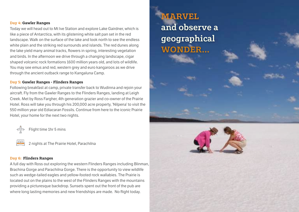# Day 4: Gawler Ranges

Today we will head out to Mt Ive Station and explore Lake Gairdner, which is like a piece of Antarctica, with its glistening white salt pan set in the red landscape. Walk on the surface of the lake and look north to see the endless white plain and the striking red surrounds and islands. The red dunes along the lake yield many animal tracks, flowers in spring, interesting vegetation and birds. In the afternoon we drive through a changing landscape, cigar shaped volcanic rock formations 1600 million years old, and lots of wildlife. You may see emus and red, western grey and euro kangaroos as we drive through the ancient outback range to Kangaluna Camp.

### Day 5: Gawler Ranges - Flinders Ranges

Following breakfast at camp, private transfer back to Wudinna and rejoin your aircraft. Fly from the Gawler Ranges to the Flinders Ranges, landing at Leigh Creek. Met by Ross Fargher, 4th generation grazier and co-owner of the Prairie Hotel. Ross will take you through his 200,000 acre property, 'Nilpena' to visit the 550 million year old Ediacaran Fossils. Continue from here to the iconic Prairie Hotel, your home for the next two nights.



Flight time 1hr 5 mins



# Day 6: Flinders Ranges

A full day with Ross out exploring the western Flinders Ranges including Blinman, Brachina Gorge and Parachilna Gorge. There is the opportunity to view wildlife such as wedge-tailed eagles and yellow-footed rock wallabies. The Prairie is located out on the plains to the west of the Flinders Ranges with the mountains providing a picturesque backdrop. Sunsets spent out the front of the pub are where long lasting memories and new friendships are made. No flight today.

# **MARVEL** and observe a geographical WONDER…

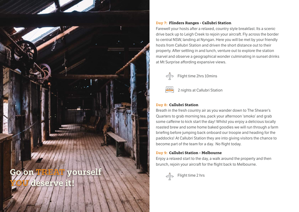

# Day 7: Flinders Ranges - Callubri Station

Farewell your hosts after a relaxed, country style breakfast. Its a scenic drive back up to Leigh Creek to rejoin your aircraft. Fly across the border to central NSW, landing at Nyngan. Here you will be met by your friendly hosts from Callubri Station and driven the short distance out to their property. After settling in and lunch, venture out to explore the station marvel and observe a geographical wonder culminating in sunset drinks at Mt Surprise affording expansive views.



2 nights at Callubri Station

# Day 8: Callubri Station

Breath in the fresh country air as you wander down to The Shearer's Quarters to grab morning tea, pack your afternoon 'smoko' and grab some caffeine to kick start the day! Whilst you enjoy a delicious locally roasted brew and some home baked goodies we will run through a farm briefing before jumping back onboard our troopie and heading for the paddocks! At Callubri Station they are into giving visitors the chance to become part of the team for a day. No flight today.

# Day 9: Callubri Station - Melbourne

Enjoy a relaxed start to the day, a walk around the property and then brunch, rejoin your aircraft for the flight back to Melbourne.

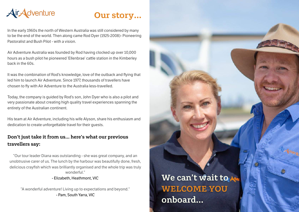

# Our story…

In the early 1960s the north of Western Australia was still considered by many to be the end of the world. Then along came Rod Dyer (1925-2008)- Pioneering Pastoralist and Bush Pilot - with a vision.

Air Adventure Australia was founded by Rod having clocked up over 10,000 hours as a bush pilot he pioneered 'Ellenbrae' cattle station in the Kimberley back in the 60s.

It was the combination of Rod's knowledge, love of the outback and flying that led him to launch Air Adventure. Since 1977, thousands of travellers have chosen to fly with Air Adventure to the Australia less-travelled.

Today, the company is guided by Rod's son, John Dyer who is also a pilot and very passionate about creating high quality travel experiences spanning the entirety of the Australian continent.

His team at Air Adventure, including his wife Alyson, share his enthusiasm and dedication to create unforgettable travel for their guests.

# Don't just take it from us… here's what our previous travellers say:

"Our tour leader Diana was outstanding - she was great company, and an unobtrusive carer of us. The lunch by the harbour was beautifully done, fresh, delicious crayfish which was brilliantly organised and the whole trip was truly wonderful."

- Elizabeth, Heathmont, VIC

"A wonderful adventure! Living up to expectations and beyond." - Pam, South Yarra, VIC

We can't wait to  $A$ WELCOME YOU onboard…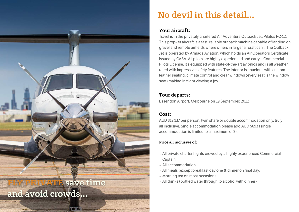

# No devil in this detail…

# Your aircraft:

Travel is in the privately chartered Air Adventure Outback Jet, Pilatus PC-12. This prop-jet aircraft is a fast, reliable outback machine capable of landing on gravel and remote airfields where others in larger aircraft can't. The Outback Jet is operated by Armada Aviation, which holds an Air Operators Certificate issued by CASA. All pilots are highly experienced and carry a Commercial Pilots License. It's equipped with state-of-the-art avionics and is all weather rated with impressive safety features. The interior is spacious with custom leather seating, climate control and clear windows (every seat is the window seat) making in flight viewing a joy.

# Tour departs:

Essendon Airport, Melbourne on 19 September, 2022

# Cost:

AUD \$12,137 per person, twin share or double accommodation only, truly all inclusive. Single accommodation please add AUD \$693 (single accommodation is limited to a maximum of 2).

# Price all inclusive of:

- All private charter flights crewed by a highly experienced Commercial **Captain**
- All accommodation
- All meals (except breakfast day one & dinner on final day.
- Morning tea on most occasions
-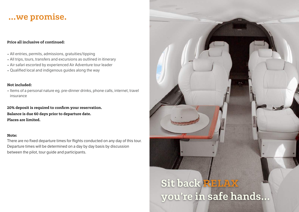# …we promise.

# Price all inclusive of continued:

- All entries, permits, admissions, gratuities/tipping
- All trips, tours, transfers and excursions as outlined in itinerary
- Air safari escorted by experienced Air Adventure tour leader
- Qualified local and indigenous guides along the way

# Not included:

• Items of a personal nature eg. pre-dinner drinks, phone calls, internet, travel insurance

20% deposit is required to confrm your reservation. Balance is due 60 days prior to departure date. Places are limited.

# Note:

There are no fixed departure times for flights conducted on any day of this tour. Departure times will be determined on a day by day basis by discussion between the pilot, tour guide and participants.

# Sit back RELAX you're in safe hands…